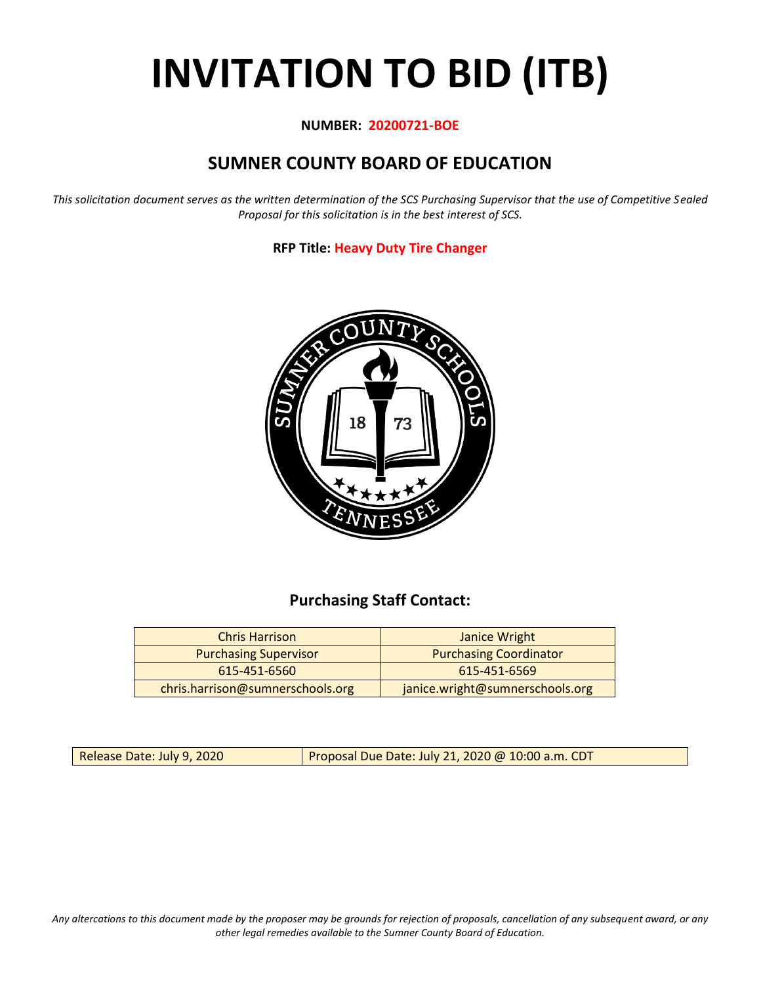# **INVITATION TO BID (ITB)**

#### **NUMBER: 20200721-BOE**

# **SUMNER COUNTY BOARD OF EDUCATION**

*This solicitation document serves as the written determination of the SCS Purchasing Supervisor that the use of Competitive Sealed Proposal for this solicitation is in the best interest of SCS.*

#### **RFP Title: Heavy Duty Tire Changer**



## **Purchasing Staff Contact:**

| <b>Chris Harrison</b>            | Janice Wright                   |
|----------------------------------|---------------------------------|
| <b>Purchasing Supervisor</b>     | <b>Purchasing Coordinator</b>   |
| 615-451-6560                     | 615-451-6569                    |
| chris.harrison@sumnerschools.org | janice.wright@sumnerschools.org |

Release Date: July 9, 2020 **Proposal Due Date: July 21, 2020 @ 10:00 a.m. CDT** 

*Any altercations to this document made by the proposer may be grounds for rejection of proposals, cancellation of any subsequent award, or any other legal remedies available to the Sumner County Board of Education.*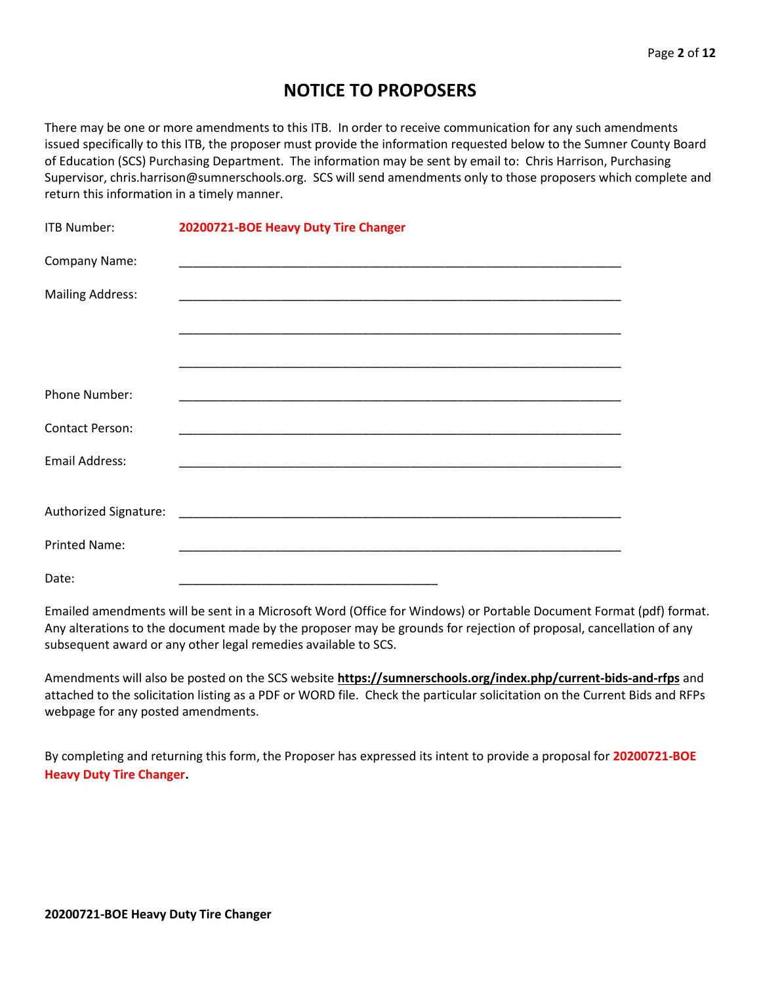## **NOTICE TO PROPOSERS**

There may be one or more amendments to this ITB. In order to receive communication for any such amendments issued specifically to this ITB, the proposer must provide the information requested below to the Sumner County Board of Education (SCS) Purchasing Department. The information may be sent by email to: Chris Harrison, Purchasing Supervisor, chris.harrison@sumnerschools.org. SCS will send amendments only to those proposers which complete and return this information in a timely manner.

| ITB Number:             | 20200721-BOE Heavy Duty Tire Changer                                                                                  |  |  |
|-------------------------|-----------------------------------------------------------------------------------------------------------------------|--|--|
| Company Name:           |                                                                                                                       |  |  |
| <b>Mailing Address:</b> | <u> 1989 - Johann John Stoff, deutscher Stoffen und der Stoffen und der Stoffen und der Stoffen und der Stoffen u</u> |  |  |
|                         |                                                                                                                       |  |  |
|                         |                                                                                                                       |  |  |
| Phone Number:           |                                                                                                                       |  |  |
|                         |                                                                                                                       |  |  |
| <b>Contact Person:</b>  |                                                                                                                       |  |  |
| <b>Email Address:</b>   |                                                                                                                       |  |  |
|                         |                                                                                                                       |  |  |
|                         |                                                                                                                       |  |  |
| <b>Printed Name:</b>    |                                                                                                                       |  |  |
| Date:                   |                                                                                                                       |  |  |

Emailed amendments will be sent in a Microsoft Word (Office for Windows) or Portable Document Format (pdf) format. Any alterations to the document made by the proposer may be grounds for rejection of proposal, cancellation of any subsequent award or any other legal remedies available to SCS.

Amendments will also be posted on the SCS website **https://sumnerschools.org/index.php/current-bids-and-rfps** and attached to the solicitation listing as a PDF or WORD file. Check the particular solicitation on the Current Bids and RFPs webpage for any posted amendments.

By completing and returning this form, the Proposer has expressed its intent to provide a proposal for **20200721-BOE Heavy Duty Tire Changer.**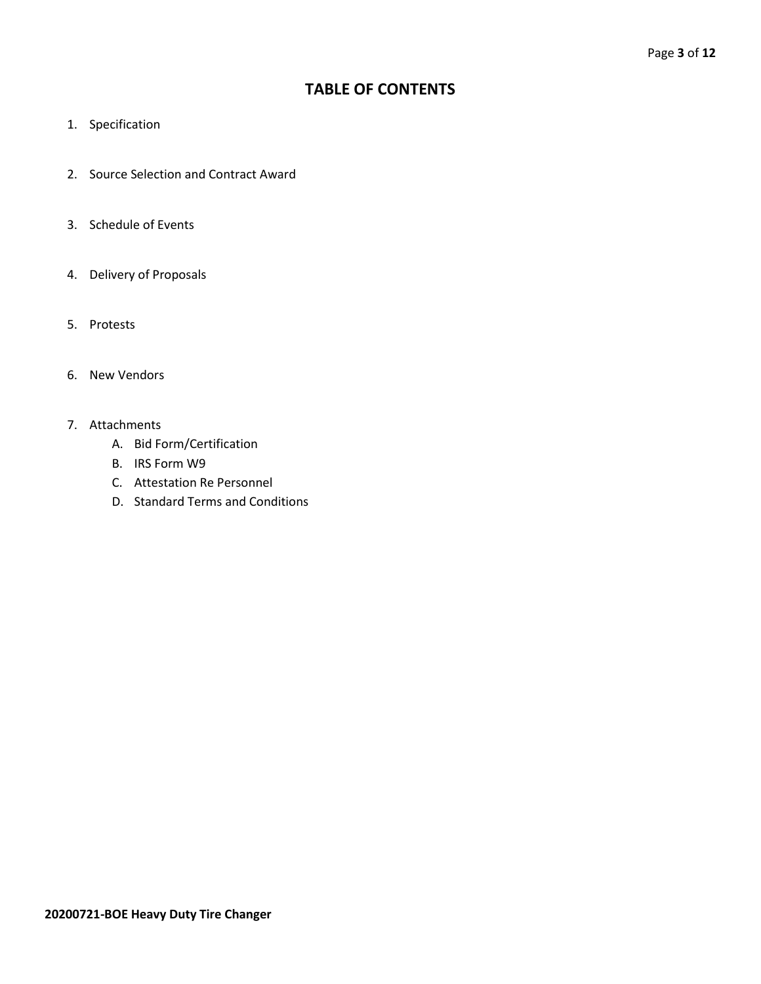## **TABLE OF CONTENTS**

- 1. Specification
- 2. Source Selection and Contract Award
- 3. Schedule of Events
- 4. Delivery of Proposals
- 5. Protests
- 6. New Vendors
- 7. Attachments
	- A. Bid Form/Certification
	- B. IRS Form W9
	- C. Attestation Re Personnel
	- D. Standard Terms and Conditions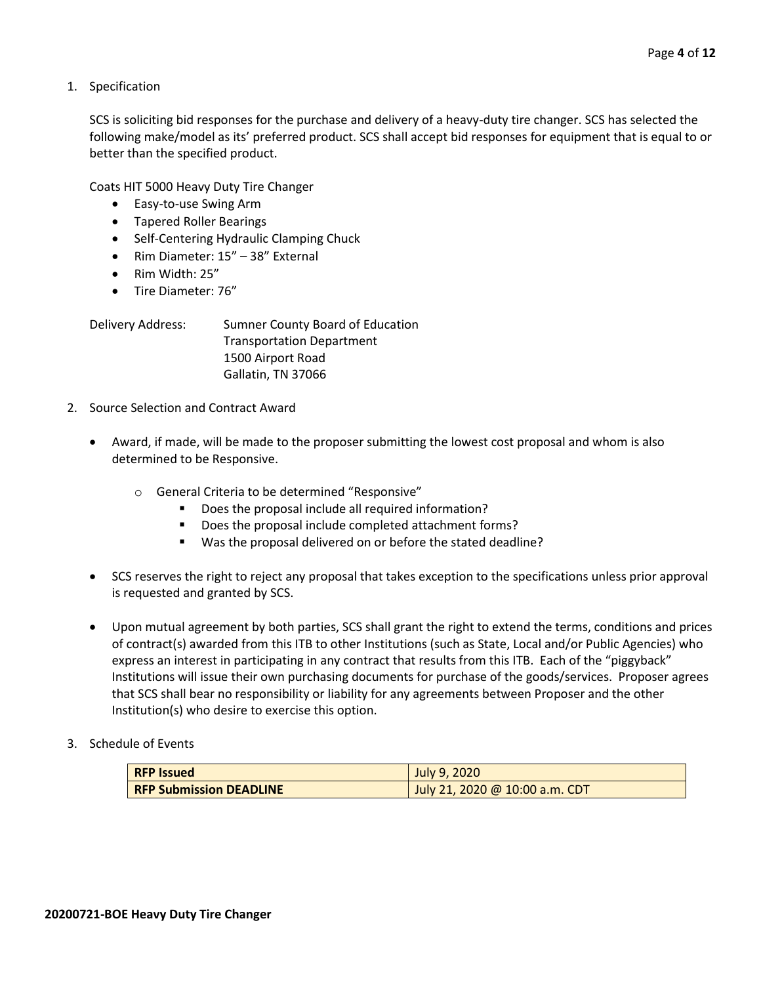1. Specification

SCS is soliciting bid responses for the purchase and delivery of a heavy-duty tire changer. SCS has selected the following make/model as its' preferred product. SCS shall accept bid responses for equipment that is equal to or better than the specified product.

Coats HIT 5000 Heavy Duty Tire Changer

- Easy-to-use Swing Arm
- Tapered Roller Bearings
- Self-Centering Hydraulic Clamping Chuck
- Rim Diameter: 15" 38" External
- Rim Width: 25"
- Tire Diameter: 76"

| Delivery Address: | Sumner County Board of Education |
|-------------------|----------------------------------|
|                   | <b>Transportation Department</b> |
|                   | 1500 Airport Road                |
|                   | Gallatin, TN 37066               |

- 2. Source Selection and Contract Award
	- Award, if made, will be made to the proposer submitting the lowest cost proposal and whom is also determined to be Responsive.
		- o General Criteria to be determined "Responsive"
			- Does the proposal include all required information?
			- Does the proposal include completed attachment forms?
			- Was the proposal delivered on or before the stated deadline?
	- SCS reserves the right to reject any proposal that takes exception to the specifications unless prior approval is requested and granted by SCS.
	- Upon mutual agreement by both parties, SCS shall grant the right to extend the terms, conditions and prices of contract(s) awarded from this ITB to other Institutions (such as State, Local and/or Public Agencies) who express an interest in participating in any contract that results from this ITB. Each of the "piggyback" Institutions will issue their own purchasing documents for purchase of the goods/services. Proposer agrees that SCS shall bear no responsibility or liability for any agreements between Proposer and the other Institution(s) who desire to exercise this option.
- 3. Schedule of Events

| <b>RFP Issued</b>              | July 9, 2020                   |
|--------------------------------|--------------------------------|
| <b>RFP Submission DEADLINE</b> | July 21, 2020 @ 10:00 a.m. CDT |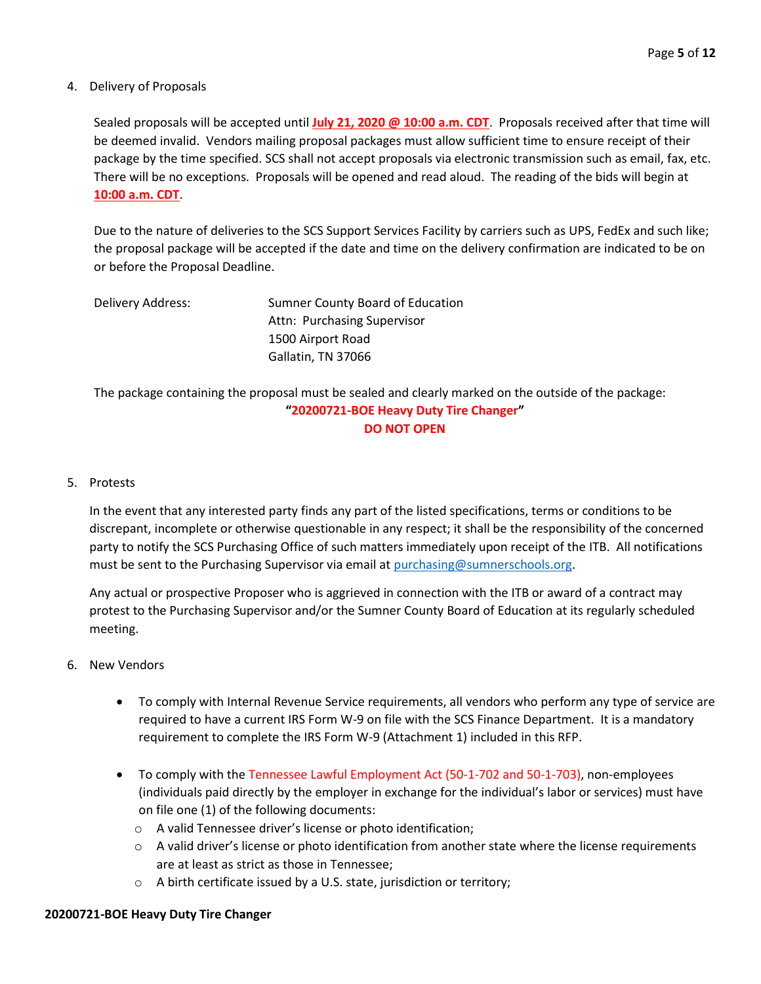#### 4. Delivery of Proposals

Sealed proposals will be accepted until **July 21, 2020 @ 10:00 a.m. CDT**. Proposals received after that time will be deemed invalid. Vendors mailing proposal packages must allow sufficient time to ensure receipt of their package by the time specified. SCS shall not accept proposals via electronic transmission such as email, fax, etc. There will be no exceptions. Proposals will be opened and read aloud. The reading of the bids will begin at **10:00 a.m. CDT**.

Due to the nature of deliveries to the SCS Support Services Facility by carriers such as UPS, FedEx and such like; the proposal package will be accepted if the date and time on the delivery confirmation are indicated to be on or before the Proposal Deadline.

| Delivery Address: | Sumner County Board of Education |
|-------------------|----------------------------------|
|                   | Attn: Purchasing Supervisor      |
|                   | 1500 Airport Road                |
|                   | Gallatin, TN 37066               |

The package containing the proposal must be sealed and clearly marked on the outside of the package: **"20200721-BOE Heavy Duty Tire Changer" DO NOT OPEN**

#### 5. Protests

In the event that any interested party finds any part of the listed specifications, terms or conditions to be discrepant, incomplete or otherwise questionable in any respect; it shall be the responsibility of the concerned party to notify the SCS Purchasing Office of such matters immediately upon receipt of the ITB. All notifications must be sent to the Purchasing Supervisor via email at [purchasing@sumnerschools.org.](mailto:purchasing@sumnerschools.org)

Any actual or prospective Proposer who is aggrieved in connection with the ITB or award of a contract may protest to the Purchasing Supervisor and/or the Sumner County Board of Education at its regularly scheduled meeting.

- 6. New Vendors
	- To comply with Internal Revenue Service requirements, all vendors who perform any type of service are required to have a current IRS Form W-9 on file with the SCS Finance Department. It is a mandatory requirement to complete the IRS Form W-9 (Attachment 1) included in this RFP.
	- To comply with the Tennessee Lawful Employment Act (50-1-702 and 50-1-703), non-employees (individuals paid directly by the employer in exchange for the individual's labor or services) must have on file one (1) of the following documents:
		- o A valid Tennessee driver's license or photo identification;
		- $\circ$  A valid driver's license or photo identification from another state where the license requirements are at least as strict as those in Tennessee;
		- o A birth certificate issued by a U.S. state, jurisdiction or territory;

### **20200721-BOE Heavy Duty Tire Changer**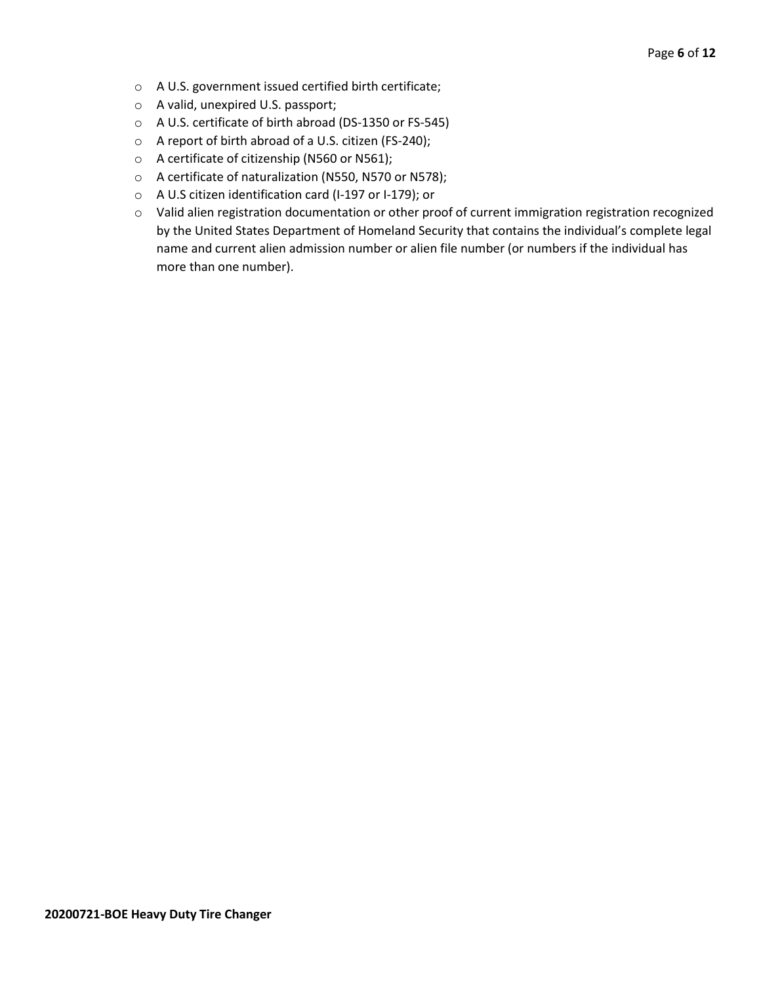- o A U.S. government issued certified birth certificate;
- o A valid, unexpired U.S. passport;
- o A U.S. certificate of birth abroad (DS-1350 or FS-545)
- o A report of birth abroad of a U.S. citizen (FS-240);
- o A certificate of citizenship (N560 or N561);
- o A certificate of naturalization (N550, N570 or N578);
- o A U.S citizen identification card (I-197 or I-179); or
- o Valid alien registration documentation or other proof of current immigration registration recognized by the United States Department of Homeland Security that contains the individual's complete legal name and current alien admission number or alien file number (or numbers if the individual has more than one number).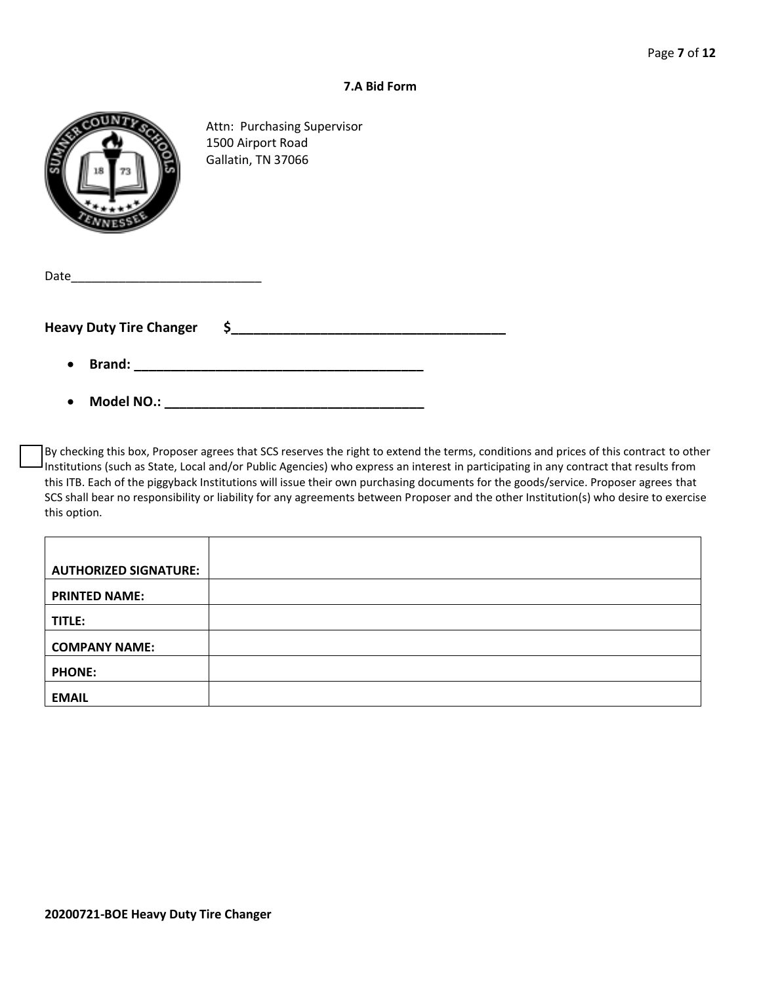#### **7.A Bid Form**

|--|

Attn: Purchasing Supervisor 1500 Airport Road Gallatin, TN 37066

| Date                           |  |
|--------------------------------|--|
|                                |  |
| <b>Heavy Duty Tire Changer</b> |  |
|                                |  |

- **Brand: \_\_\_\_\_\_\_\_\_\_\_\_\_\_\_\_\_\_\_\_\_\_\_\_\_\_\_\_\_\_\_\_\_\_\_\_\_\_\_**
- **Model NO.: \_\_\_\_\_\_\_\_\_\_\_\_\_\_\_\_\_\_\_\_\_\_\_\_\_\_\_\_\_\_\_\_\_\_\_**

By checking this box, Proposer agrees that SCS reserves the right to extend the terms, conditions and prices of this contract to other Institutions (such as State, Local and/or Public Agencies) who express an interest in participating in any contract that results from this ITB. Each of the piggyback Institutions will issue their own purchasing documents for the goods/service. Proposer agrees that SCS shall bear no responsibility or liability for any agreements between Proposer and the other Institution(s) who desire to exercise this option.

| <b>AUTHORIZED SIGNATURE:</b> |  |
|------------------------------|--|
| <b>PRINTED NAME:</b>         |  |
| TITLE:                       |  |
| <b>COMPANY NAME:</b>         |  |
| <b>PHONE:</b>                |  |
| <b>EMAIL</b>                 |  |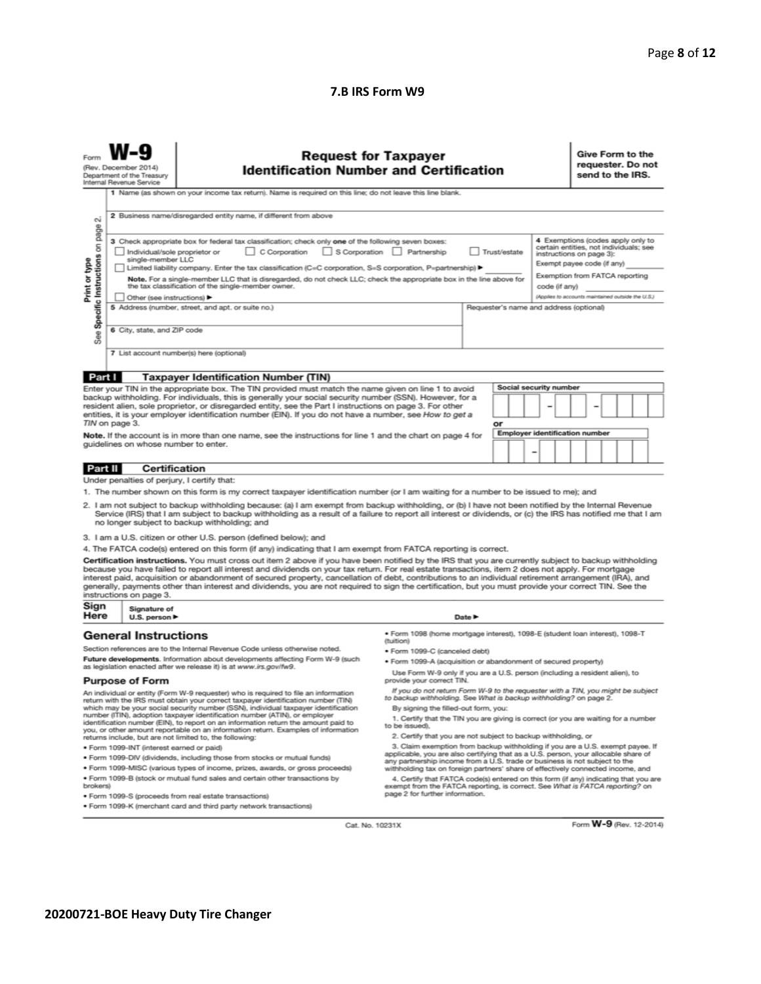#### **7.B IRS Form W9**

| Form                                                                                                                                                                                                                                                                                                                                                                                                                                                                                                                                                                                                                                                                                                     | (Rev. December 2014)<br>Department of the Treasury<br>Internal Revenue Service                                                                                                                                                                                                                                                   | <b>Request for Taxpayer</b><br><b>Identification Number and Certification</b><br>1 Name (as shown on your income tax return). Name is required on this line; do not leave this line blank.                                                                                                                                                                                                                                                                                                                                                                                                                                    |                                                                                                                                                                       |                                         |    |  |                              |  |                                | Give Form to the<br>requester. Do not<br>send to the IRS. |  |  |  |  |  |
|----------------------------------------------------------------------------------------------------------------------------------------------------------------------------------------------------------------------------------------------------------------------------------------------------------------------------------------------------------------------------------------------------------------------------------------------------------------------------------------------------------------------------------------------------------------------------------------------------------------------------------------------------------------------------------------------------------|----------------------------------------------------------------------------------------------------------------------------------------------------------------------------------------------------------------------------------------------------------------------------------------------------------------------------------|-------------------------------------------------------------------------------------------------------------------------------------------------------------------------------------------------------------------------------------------------------------------------------------------------------------------------------------------------------------------------------------------------------------------------------------------------------------------------------------------------------------------------------------------------------------------------------------------------------------------------------|-----------------------------------------------------------------------------------------------------------------------------------------------------------------------|-----------------------------------------|----|--|------------------------------|--|--------------------------------|-----------------------------------------------------------|--|--|--|--|--|
| σû                                                                                                                                                                                                                                                                                                                                                                                                                                                                                                                                                                                                                                                                                                       |                                                                                                                                                                                                                                                                                                                                  | 2 Business name/disregarded entity name, if different from above                                                                                                                                                                                                                                                                                                                                                                                                                                                                                                                                                              |                                                                                                                                                                       |                                         |    |  |                              |  |                                |                                                           |  |  |  |  |  |
| Specific Instructions on page<br>4 Exemptions (codes apply only to<br>3 Check appropriate box for federal tax classification; check only one of the following seven boxes:<br>certain entities, not individuals; see<br>C Corporation<br>$\Box$ S Corporation<br>Partnership<br>Trust/estate<br>Individual/sole proprietor or<br>instructions on page 3):<br>single-member LLC<br>Print or type<br>Exempt payee code (if any)<br>  Limited liability company. Enter the tax classification (C=C corporation, S=S corporation, P=partnership) ▶<br>Exemption from FATCA reporting<br>Note. For a single-member LLC that is disregarded, do not check LLC; check the appropriate box in the line above for |                                                                                                                                                                                                                                                                                                                                  |                                                                                                                                                                                                                                                                                                                                                                                                                                                                                                                                                                                                                               |                                                                                                                                                                       |                                         |    |  |                              |  |                                |                                                           |  |  |  |  |  |
|                                                                                                                                                                                                                                                                                                                                                                                                                                                                                                                                                                                                                                                                                                          | the tax classification of the single-member owner.<br>code (if any)<br>(Applies to accounts maintained outside the U.S.)<br>Other (see instructions) ▶                                                                                                                                                                           |                                                                                                                                                                                                                                                                                                                                                                                                                                                                                                                                                                                                                               |                                                                                                                                                                       |                                         |    |  |                              |  |                                |                                                           |  |  |  |  |  |
|                                                                                                                                                                                                                                                                                                                                                                                                                                                                                                                                                                                                                                                                                                          | 6 City, state, and ZIP code                                                                                                                                                                                                                                                                                                      | 5 Address (number, street, and apt. or suite no.)                                                                                                                                                                                                                                                                                                                                                                                                                                                                                                                                                                             |                                                                                                                                                                       | Requester's name and address (optional) |    |  |                              |  |                                |                                                           |  |  |  |  |  |
| See                                                                                                                                                                                                                                                                                                                                                                                                                                                                                                                                                                                                                                                                                                      |                                                                                                                                                                                                                                                                                                                                  |                                                                                                                                                                                                                                                                                                                                                                                                                                                                                                                                                                                                                               |                                                                                                                                                                       |                                         |    |  |                              |  |                                |                                                           |  |  |  |  |  |
|                                                                                                                                                                                                                                                                                                                                                                                                                                                                                                                                                                                                                                                                                                          |                                                                                                                                                                                                                                                                                                                                  | 7 List account number(s) here (optional)                                                                                                                                                                                                                                                                                                                                                                                                                                                                                                                                                                                      |                                                                                                                                                                       |                                         |    |  |                              |  |                                |                                                           |  |  |  |  |  |
| Part I                                                                                                                                                                                                                                                                                                                                                                                                                                                                                                                                                                                                                                                                                                   |                                                                                                                                                                                                                                                                                                                                  | <b>Taxpayer Identification Number (TIN)</b>                                                                                                                                                                                                                                                                                                                                                                                                                                                                                                                                                                                   |                                                                                                                                                                       |                                         |    |  |                              |  |                                |                                                           |  |  |  |  |  |
|                                                                                                                                                                                                                                                                                                                                                                                                                                                                                                                                                                                                                                                                                                          |                                                                                                                                                                                                                                                                                                                                  | Enter your TIN in the appropriate box. The TIN provided must match the name given on line 1 to avoid                                                                                                                                                                                                                                                                                                                                                                                                                                                                                                                          |                                                                                                                                                                       |                                         |    |  | Social security number       |  |                                |                                                           |  |  |  |  |  |
|                                                                                                                                                                                                                                                                                                                                                                                                                                                                                                                                                                                                                                                                                                          |                                                                                                                                                                                                                                                                                                                                  | backup withholding. For individuals, this is generally your social security number (SSN). However, for a<br>resident alien, sole proprietor, or disregarded entity, see the Part I instructions on page 3. For other                                                                                                                                                                                                                                                                                                                                                                                                          |                                                                                                                                                                       |                                         |    |  |                              |  |                                |                                                           |  |  |  |  |  |
|                                                                                                                                                                                                                                                                                                                                                                                                                                                                                                                                                                                                                                                                                                          |                                                                                                                                                                                                                                                                                                                                  | entities, it is your employer identification number (EIN). If you do not have a number, see How to get a                                                                                                                                                                                                                                                                                                                                                                                                                                                                                                                      |                                                                                                                                                                       |                                         |    |  |                              |  |                                |                                                           |  |  |  |  |  |
|                                                                                                                                                                                                                                                                                                                                                                                                                                                                                                                                                                                                                                                                                                          | TIN on page 3.                                                                                                                                                                                                                                                                                                                   | Note. If the account is in more than one name, see the instructions for line 1 and the chart on page 4 for                                                                                                                                                                                                                                                                                                                                                                                                                                                                                                                    |                                                                                                                                                                       |                                         | or |  |                              |  | Employer identification number |                                                           |  |  |  |  |  |
|                                                                                                                                                                                                                                                                                                                                                                                                                                                                                                                                                                                                                                                                                                          | guidelines on whose number to enter.                                                                                                                                                                                                                                                                                             |                                                                                                                                                                                                                                                                                                                                                                                                                                                                                                                                                                                                                               |                                                                                                                                                                       |                                         |    |  |                              |  |                                |                                                           |  |  |  |  |  |
|                                                                                                                                                                                                                                                                                                                                                                                                                                                                                                                                                                                                                                                                                                          |                                                                                                                                                                                                                                                                                                                                  |                                                                                                                                                                                                                                                                                                                                                                                                                                                                                                                                                                                                                               |                                                                                                                                                                       |                                         |    |  | $\qquad \qquad \blacksquare$ |  |                                |                                                           |  |  |  |  |  |
| Part II                                                                                                                                                                                                                                                                                                                                                                                                                                                                                                                                                                                                                                                                                                  | <b>Certification</b>                                                                                                                                                                                                                                                                                                             |                                                                                                                                                                                                                                                                                                                                                                                                                                                                                                                                                                                                                               |                                                                                                                                                                       |                                         |    |  |                              |  |                                |                                                           |  |  |  |  |  |
|                                                                                                                                                                                                                                                                                                                                                                                                                                                                                                                                                                                                                                                                                                          | Under penalties of perjury, I certify that:                                                                                                                                                                                                                                                                                      |                                                                                                                                                                                                                                                                                                                                                                                                                                                                                                                                                                                                                               |                                                                                                                                                                       |                                         |    |  |                              |  |                                |                                                           |  |  |  |  |  |
|                                                                                                                                                                                                                                                                                                                                                                                                                                                                                                                                                                                                                                                                                                          |                                                                                                                                                                                                                                                                                                                                  | 1. The number shown on this form is my correct taxpayer identification number (or I am waiting for a number to be issued to me); and                                                                                                                                                                                                                                                                                                                                                                                                                                                                                          |                                                                                                                                                                       |                                         |    |  |                              |  |                                |                                                           |  |  |  |  |  |
|                                                                                                                                                                                                                                                                                                                                                                                                                                                                                                                                                                                                                                                                                                          |                                                                                                                                                                                                                                                                                                                                  | 2. I am not subject to backup withholding because: (a) I am exempt from backup withholding, or (b) I have not been notified by the Internal Revenue<br>Service (IRS) that I am subject to backup withholding as a result of a failure to report all interest or dividends, or (c) the IRS has notified me that I am<br>no longer subject to backup withholding; and                                                                                                                                                                                                                                                           |                                                                                                                                                                       |                                         |    |  |                              |  |                                |                                                           |  |  |  |  |  |
|                                                                                                                                                                                                                                                                                                                                                                                                                                                                                                                                                                                                                                                                                                          |                                                                                                                                                                                                                                                                                                                                  | 3. I am a U.S. citizen or other U.S. person (defined below); and                                                                                                                                                                                                                                                                                                                                                                                                                                                                                                                                                              |                                                                                                                                                                       |                                         |    |  |                              |  |                                |                                                           |  |  |  |  |  |
|                                                                                                                                                                                                                                                                                                                                                                                                                                                                                                                                                                                                                                                                                                          |                                                                                                                                                                                                                                                                                                                                  | 4. The FATCA code(s) entered on this form (if any) indicating that I am exempt from FATCA reporting is correct.                                                                                                                                                                                                                                                                                                                                                                                                                                                                                                               |                                                                                                                                                                       |                                         |    |  |                              |  |                                |                                                           |  |  |  |  |  |
|                                                                                                                                                                                                                                                                                                                                                                                                                                                                                                                                                                                                                                                                                                          | instructions on page 3.                                                                                                                                                                                                                                                                                                          | Certification instructions. You must cross out item 2 above if you have been notified by the IRS that you are currently subject to backup withholding<br>because you have failed to report all interest and dividends on your tax return. For real estate transactions, item 2 does not apply. For mortgage<br>interest paid, acquisition or abandonment of secured property, cancellation of debt, contributions to an individual retirement arrangement (IRA), and<br>generally, payments other than interest and dividends, you are not required to sign the certification, but you must provide your correct TIN. See the |                                                                                                                                                                       |                                         |    |  |                              |  |                                |                                                           |  |  |  |  |  |
| Sign<br>Here                                                                                                                                                                                                                                                                                                                                                                                                                                                                                                                                                                                                                                                                                             | Signature of<br>U.S. person $\blacktriangleright$                                                                                                                                                                                                                                                                                |                                                                                                                                                                                                                                                                                                                                                                                                                                                                                                                                                                                                                               | Date P                                                                                                                                                                |                                         |    |  |                              |  |                                |                                                           |  |  |  |  |  |
|                                                                                                                                                                                                                                                                                                                                                                                                                                                                                                                                                                                                                                                                                                          | <b>General Instructions</b><br>· Form 1098 (home mortgage interest), 1098-E (student Ioan interest), 1098-T<br>(tuition)                                                                                                                                                                                                         |                                                                                                                                                                                                                                                                                                                                                                                                                                                                                                                                                                                                                               |                                                                                                                                                                       |                                         |    |  |                              |  |                                |                                                           |  |  |  |  |  |
| Section references are to the Internal Revenue Code unless otherwise noted.<br>· Form 1099-C (canceled debt)                                                                                                                                                                                                                                                                                                                                                                                                                                                                                                                                                                                             |                                                                                                                                                                                                                                                                                                                                  |                                                                                                                                                                                                                                                                                                                                                                                                                                                                                                                                                                                                                               |                                                                                                                                                                       |                                         |    |  |                              |  |                                |                                                           |  |  |  |  |  |
|                                                                                                                                                                                                                                                                                                                                                                                                                                                                                                                                                                                                                                                                                                          |                                                                                                                                                                                                                                                                                                                                  | Future developments. Information about developments affecting Form W-9 (such<br>as legislation enacted after we release it) is at www.irs.gov/fw9.                                                                                                                                                                                                                                                                                                                                                                                                                                                                            | . Form 1099-A (acquisition or abandonment of secured property)                                                                                                        |                                         |    |  |                              |  |                                |                                                           |  |  |  |  |  |
| Use Form W-9 only if you are a U.S. person (including a resident alien), to<br><b>Purpose of Form</b><br>provide your correct TIN.                                                                                                                                                                                                                                                                                                                                                                                                                                                                                                                                                                       |                                                                                                                                                                                                                                                                                                                                  |                                                                                                                                                                                                                                                                                                                                                                                                                                                                                                                                                                                                                               |                                                                                                                                                                       |                                         |    |  |                              |  |                                |                                                           |  |  |  |  |  |
|                                                                                                                                                                                                                                                                                                                                                                                                                                                                                                                                                                                                                                                                                                          | If you do not return Form W-9 to the requester with a TIN, you might be subject<br>An individual or entity (Form W-9 requester) who is required to file an information<br>to backup withholding. See What is backup withholding? on page 2.<br>return with the IRS must obtain your correct taxpayer identification number (TIN) |                                                                                                                                                                                                                                                                                                                                                                                                                                                                                                                                                                                                                               |                                                                                                                                                                       |                                         |    |  |                              |  |                                |                                                           |  |  |  |  |  |
| which may be your social security number (SSN), individual taxpayer identification                                                                                                                                                                                                                                                                                                                                                                                                                                                                                                                                                                                                                       |                                                                                                                                                                                                                                                                                                                                  |                                                                                                                                                                                                                                                                                                                                                                                                                                                                                                                                                                                                                               | By signing the filled-out form, you:                                                                                                                                  |                                         |    |  |                              |  |                                |                                                           |  |  |  |  |  |
| number (ITIN), adoption taxpayer identification number (ATIN), or employer<br>identification number (EIN), to report on an information return the amount paid to<br>you, or other amount reportable on an information return. Examples of information                                                                                                                                                                                                                                                                                                                                                                                                                                                    |                                                                                                                                                                                                                                                                                                                                  |                                                                                                                                                                                                                                                                                                                                                                                                                                                                                                                                                                                                                               | 1. Certify that the TIN you are giving is correct (or you are waiting for a number<br>to be issued).<br>2. Certify that you are not subject to backup withholding, or |                                         |    |  |                              |  |                                |                                                           |  |  |  |  |  |
|                                                                                                                                                                                                                                                                                                                                                                                                                                                                                                                                                                                                                                                                                                          | · Form 1099-INT (interest earned or paid)                                                                                                                                                                                                                                                                                        | returns include, but are not limited to, the following:                                                                                                                                                                                                                                                                                                                                                                                                                                                                                                                                                                       | 3. Claim exemption from backup withholding if you are a U.S. exempt payee. If                                                                                         |                                         |    |  |                              |  |                                |                                                           |  |  |  |  |  |
|                                                                                                                                                                                                                                                                                                                                                                                                                                                                                                                                                                                                                                                                                                          |                                                                                                                                                                                                                                                                                                                                  | . Form 1099-DIV (dividends, including those from stocks or mutual funds)                                                                                                                                                                                                                                                                                                                                                                                                                                                                                                                                                      | applicable, you are also certifying that as a U.S. person, your allocable share of<br>any partnership income from a U.S. trade or business is not subject to the      |                                         |    |  |                              |  |                                |                                                           |  |  |  |  |  |
|                                                                                                                                                                                                                                                                                                                                                                                                                                                                                                                                                                                                                                                                                                          |                                                                                                                                                                                                                                                                                                                                  | . Form 1099-MISC (various types of income, prizes, awards, or gross proceeds)                                                                                                                                                                                                                                                                                                                                                                                                                                                                                                                                                 | withholding tax on foreign partners' share of effectively connected income, and                                                                                       |                                         |    |  |                              |  |                                |                                                           |  |  |  |  |  |
| brokers)                                                                                                                                                                                                                                                                                                                                                                                                                                                                                                                                                                                                                                                                                                 |                                                                                                                                                                                                                                                                                                                                  | . Form 1099-B (stock or mutual fund sales and certain other transactions by                                                                                                                                                                                                                                                                                                                                                                                                                                                                                                                                                   | 4. Certify that FATCA code(s) entered on this form (if any) indicating that you are<br>exempt from the FATCA reporting, is correct. See What is FATCA reporting? on   |                                         |    |  |                              |  |                                |                                                           |  |  |  |  |  |
|                                                                                                                                                                                                                                                                                                                                                                                                                                                                                                                                                                                                                                                                                                          |                                                                                                                                                                                                                                                                                                                                  | · Form 1099-S (proceeds from real estate transactions)                                                                                                                                                                                                                                                                                                                                                                                                                                                                                                                                                                        | page 2 for further information.                                                                                                                                       |                                         |    |  |                              |  |                                |                                                           |  |  |  |  |  |
|                                                                                                                                                                                                                                                                                                                                                                                                                                                                                                                                                                                                                                                                                                          | . Form 1099-K (merchant card and third party network transactions)                                                                                                                                                                                                                                                               |                                                                                                                                                                                                                                                                                                                                                                                                                                                                                                                                                                                                                               |                                                                                                                                                                       |                                         |    |  |                              |  |                                |                                                           |  |  |  |  |  |

Cat. No. 10231X

Form W-9 (Rev. 12-2014)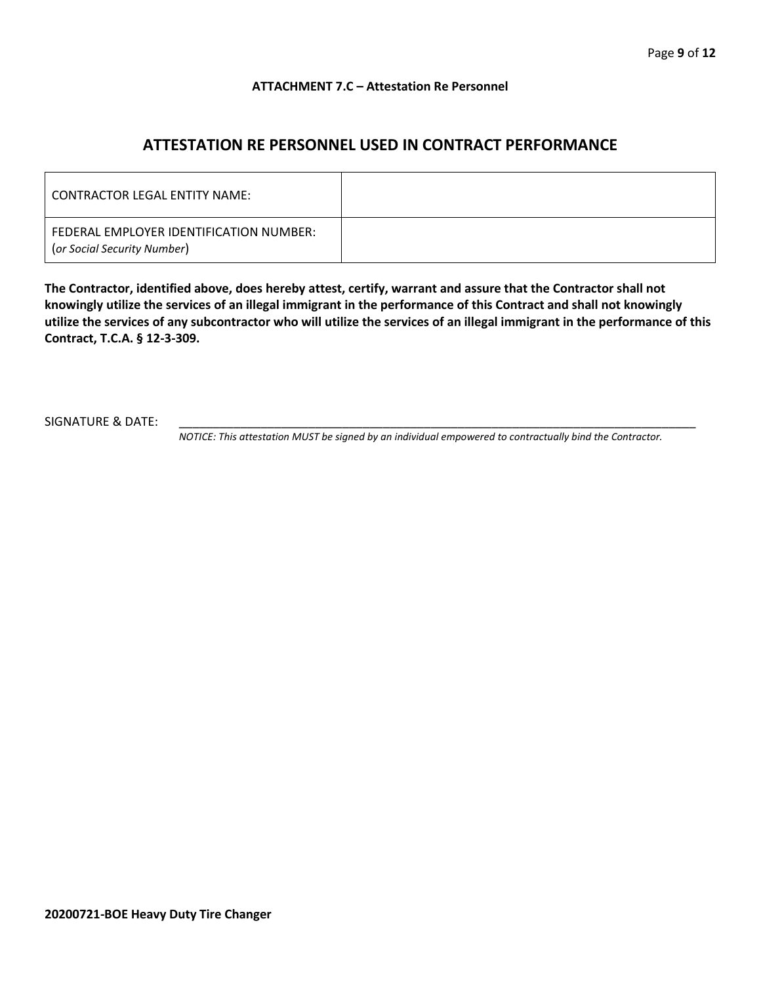#### **ATTACHMENT 7.C – Attestation Re Personnel**

## **ATTESTATION RE PERSONNEL USED IN CONTRACT PERFORMANCE**

| CONTRACTOR LEGAL ENTITY NAME:                                          |  |
|------------------------------------------------------------------------|--|
| FEDERAL EMPLOYER IDENTIFICATION NUMBER:<br>(or Social Security Number) |  |

**The Contractor, identified above, does hereby attest, certify, warrant and assure that the Contractor shall not knowingly utilize the services of an illegal immigrant in the performance of this Contract and shall not knowingly utilize the services of any subcontractor who will utilize the services of an illegal immigrant in the performance of this Contract, T.C.A. § 12-3-309.**

SIGNATURE & DATE:

*NOTICE: This attestation MUST be signed by an individual empowered to contractually bind the Contractor.*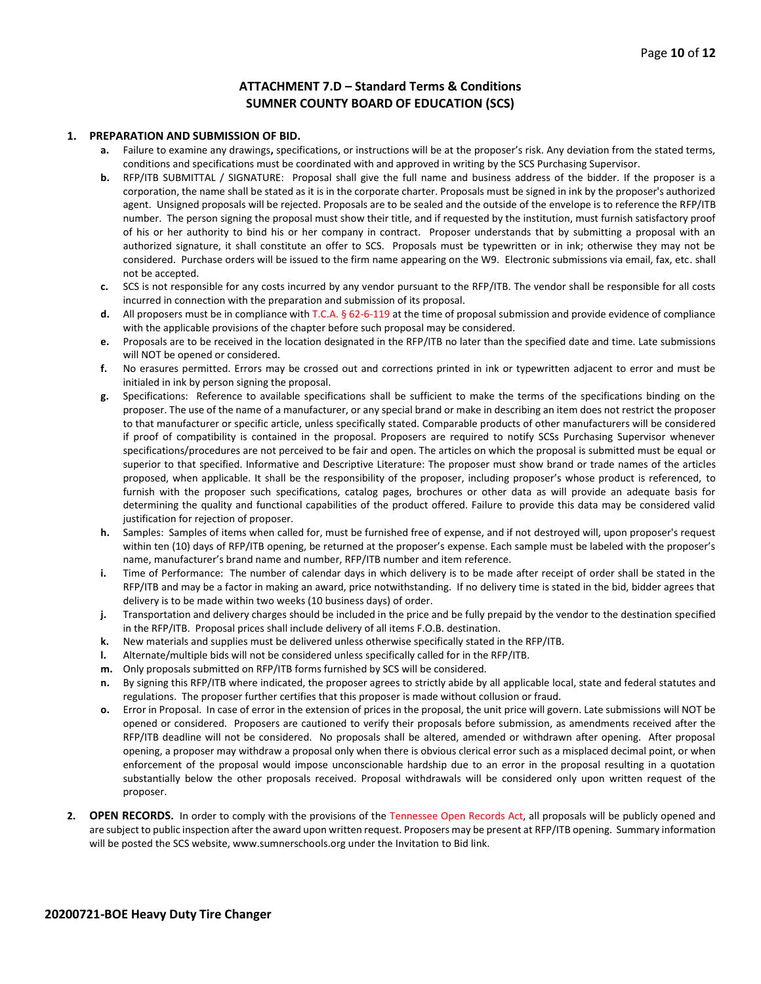#### **ATTACHMENT 7.D – Standard Terms & Conditions SUMNER COUNTY BOARD OF EDUCATION (SCS)**

#### **1. PREPARATION AND SUBMISSION OF BID.**

- **a.** Failure to examine any drawings**,** specifications, or instructions will be at the proposer's risk. Any deviation from the stated terms, conditions and specifications must be coordinated with and approved in writing by the SCS Purchasing Supervisor.
- **b.** RFP/ITB SUBMITTAL / SIGNATURE: Proposal shall give the full name and business address of the bidder. If the proposer is a corporation, the name shall be stated as it is in the corporate charter. Proposals must be signed in ink by the proposer's authorized agent. Unsigned proposals will be rejected. Proposals are to be sealed and the outside of the envelope is to reference the RFP/ITB number. The person signing the proposal must show their title, and if requested by the institution, must furnish satisfactory proof of his or her authority to bind his or her company in contract. Proposer understands that by submitting a proposal with an authorized signature, it shall constitute an offer to SCS. Proposals must be typewritten or in ink; otherwise they may not be considered. Purchase orders will be issued to the firm name appearing on the W9. Electronic submissions via email, fax, etc. shall not be accepted.
- **c.** SCS is not responsible for any costs incurred by any vendor pursuant to the RFP/ITB. The vendor shall be responsible for all costs incurred in connection with the preparation and submission of its proposal.
- **d.** All proposers must be in compliance with T.C.A. § 62-6-119 at the time of proposal submission and provide evidence of compliance with the applicable provisions of the chapter before such proposal may be considered.
- **e.** Proposals are to be received in the location designated in the RFP/ITB no later than the specified date and time. Late submissions will NOT be opened or considered.
- **f.** No erasures permitted. Errors may be crossed out and corrections printed in ink or typewritten adjacent to error and must be initialed in ink by person signing the proposal.
- **g.** Specifications: Reference to available specifications shall be sufficient to make the terms of the specifications binding on the proposer. The use of the name of a manufacturer, or any special brand or make in describing an item does not restrict the proposer to that manufacturer or specific article, unless specifically stated. Comparable products of other manufacturers will be considered if proof of compatibility is contained in the proposal. Proposers are required to notify SCSs Purchasing Supervisor whenever specifications/procedures are not perceived to be fair and open. The articles on which the proposal is submitted must be equal or superior to that specified. Informative and Descriptive Literature: The proposer must show brand or trade names of the articles proposed, when applicable. It shall be the responsibility of the proposer, including proposer's whose product is referenced, to furnish with the proposer such specifications, catalog pages, brochures or other data as will provide an adequate basis for determining the quality and functional capabilities of the product offered. Failure to provide this data may be considered valid justification for rejection of proposer.
- **h.** Samples: Samples of items when called for, must be furnished free of expense, and if not destroyed will, upon proposer's request within ten (10) days of RFP/ITB opening, be returned at the proposer's expense. Each sample must be labeled with the proposer's name, manufacturer's brand name and number, RFP/ITB number and item reference.
- **i.** Time of Performance: The number of calendar days in which delivery is to be made after receipt of order shall be stated in the RFP/ITB and may be a factor in making an award, price notwithstanding. If no delivery time is stated in the bid, bidder agrees that delivery is to be made within two weeks (10 business days) of order.
- **j.** Transportation and delivery charges should be included in the price and be fully prepaid by the vendor to the destination specified in the RFP/ITB. Proposal prices shall include delivery of all items F.O.B. destination.
- **k.** New materials and supplies must be delivered unless otherwise specifically stated in the RFP/ITB.
- **l.** Alternate/multiple bids will not be considered unless specifically called for in the RFP/ITB.
- **m.** Only proposals submitted on RFP/ITB forms furnished by SCS will be considered.
- **n.** By signing this RFP/ITB where indicated, the proposer agrees to strictly abide by all applicable local, state and federal statutes and regulations. The proposer further certifies that this proposer is made without collusion or fraud.
- **o.** Error in Proposal. In case of error in the extension of prices in the proposal, the unit price will govern. Late submissions will NOT be opened or considered. Proposers are cautioned to verify their proposals before submission, as amendments received after the RFP/ITB deadline will not be considered. No proposals shall be altered, amended or withdrawn after opening. After proposal opening, a proposer may withdraw a proposal only when there is obvious clerical error such as a misplaced decimal point, or when enforcement of the proposal would impose unconscionable hardship due to an error in the proposal resulting in a quotation substantially below the other proposals received. Proposal withdrawals will be considered only upon written request of the proposer.
- **2. OPEN RECORDS.** In order to comply with the provisions of the Tennessee Open Records Act, all proposals will be publicly opened and are subject to public inspection after the award upon written request. Proposers may be present at RFP/ITB opening. Summary information will be posted the SCS website, www.sumnerschools.org under the Invitation to Bid link.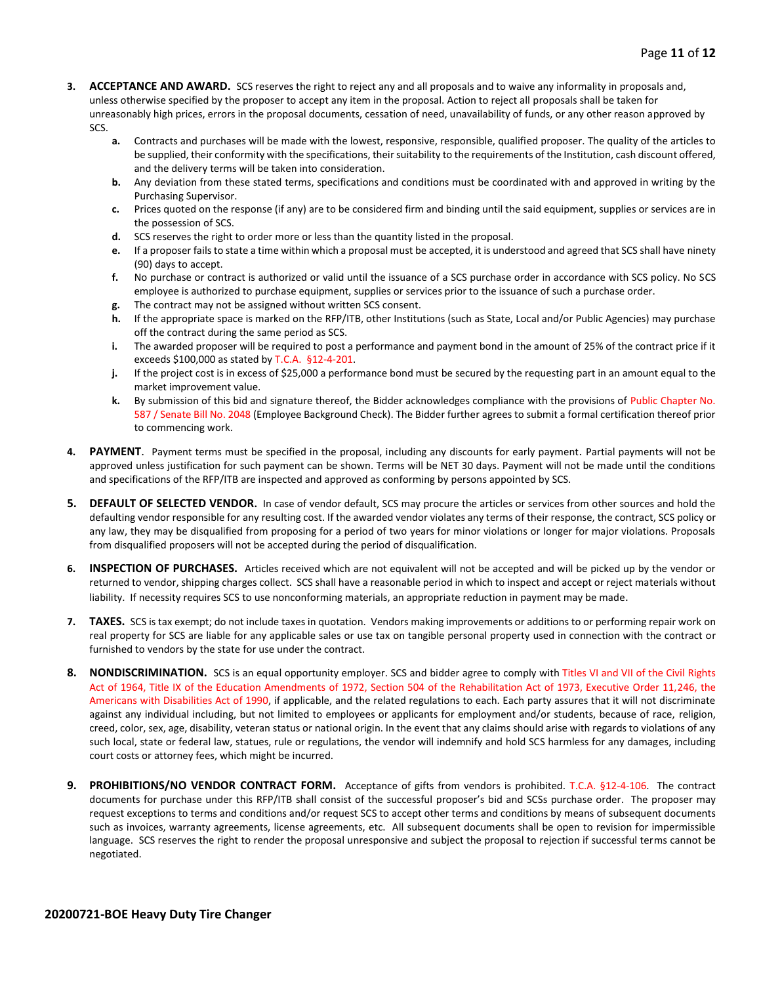- **3. ACCEPTANCE AND AWARD.** SCS reserves the right to reject any and all proposals and to waive any informality in proposals and, unless otherwise specified by the proposer to accept any item in the proposal. Action to reject all proposals shall be taken for unreasonably high prices, errors in the proposal documents, cessation of need, unavailability of funds, or any other reason approved by SCS.
	- **a.** Contracts and purchases will be made with the lowest, responsive, responsible, qualified proposer. The quality of the articles to be supplied, their conformity with the specifications, their suitability to the requirements of the Institution, cash discount offered, and the delivery terms will be taken into consideration.
	- **b.** Any deviation from these stated terms, specifications and conditions must be coordinated with and approved in writing by the Purchasing Supervisor.
	- **c.** Prices quoted on the response (if any) are to be considered firm and binding until the said equipment, supplies or services are in the possession of SCS.
	- **d.** SCS reserves the right to order more or less than the quantity listed in the proposal.
	- **e.** If a proposer fails to state a time within which a proposal must be accepted, it is understood and agreed that SCS shall have ninety (90) days to accept.
	- **f.** No purchase or contract is authorized or valid until the issuance of a SCS purchase order in accordance with SCS policy. No SCS employee is authorized to purchase equipment, supplies or services prior to the issuance of such a purchase order.
	- **g.** The contract may not be assigned without written SCS consent.
	- **h.** If the appropriate space is marked on the RFP/ITB, other Institutions (such as State, Local and/or Public Agencies) may purchase off the contract during the same period as SCS.
	- **i.** The awarded proposer will be required to post a performance and payment bond in the amount of 25% of the contract price if it exceeds \$100,000 as stated by T.C.A. §12-4-201.
	- **j.** If the project cost is in excess of \$25,000 a performance bond must be secured by the requesting part in an amount equal to the market improvement value.
	- **k.** By submission of this bid and signature thereof, the Bidder acknowledges compliance with the provisions of Public Chapter No. 587 / Senate Bill No. 2048 (Employee Background Check). The Bidder further agrees to submit a formal certification thereof prior to commencing work.
- **4. PAYMENT**. Payment terms must be specified in the proposal, including any discounts for early payment. Partial payments will not be approved unless justification for such payment can be shown. Terms will be NET 30 days. Payment will not be made until the conditions and specifications of the RFP/ITB are inspected and approved as conforming by persons appointed by SCS.
- **5. DEFAULT OF SELECTED VENDOR.** In case of vendor default, SCS may procure the articles or services from other sources and hold the defaulting vendor responsible for any resulting cost. If the awarded vendor violates any terms of their response, the contract, SCS policy or any law, they may be disqualified from proposing for a period of two years for minor violations or longer for major violations. Proposals from disqualified proposers will not be accepted during the period of disqualification.
- **6. INSPECTION OF PURCHASES.** Articles received which are not equivalent will not be accepted and will be picked up by the vendor or returned to vendor, shipping charges collect. SCS shall have a reasonable period in which to inspect and accept or reject materials without liability. If necessity requires SCS to use nonconforming materials, an appropriate reduction in payment may be made.
- **7. TAXES.** SCS is tax exempt; do not include taxes in quotation. Vendors making improvements or additions to or performing repair work on real property for SCS are liable for any applicable sales or use tax on tangible personal property used in connection with the contract or furnished to vendors by the state for use under the contract.
- **8. NONDISCRIMINATION.** SCS is an equal opportunity employer. SCS and bidder agree to comply with Titles VI and VII of the Civil Rights Act of 1964, Title IX of the Education Amendments of 1972, Section 504 of the Rehabilitation Act of 1973, Executive Order 11,246, the Americans with Disabilities Act of 1990, if applicable, and the related regulations to each. Each party assures that it will not discriminate against any individual including, but not limited to employees or applicants for employment and/or students, because of race, religion, creed, color, sex, age, disability, veteran status or national origin. In the event that any claims should arise with regards to violations of any such local, state or federal law, statues, rule or regulations, the vendor will indemnify and hold SCS harmless for any damages, including court costs or attorney fees, which might be incurred.
- **9. PROHIBITIONS/NO VENDOR CONTRACT FORM.** Acceptance of gifts from vendors is prohibited. T.C.A. §12-4-106. The contract documents for purchase under this RFP/ITB shall consist of the successful proposer's bid and SCSs purchase order. The proposer may request exceptions to terms and conditions and/or request SCS to accept other terms and conditions by means of subsequent documents such as invoices, warranty agreements, license agreements, etc. All subsequent documents shall be open to revision for impermissible language. SCS reserves the right to render the proposal unresponsive and subject the proposal to rejection if successful terms cannot be negotiated.